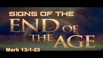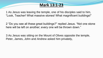1 As Jesus was leaving the temple, one of his disciples said to him, "Look, Teacher! What massive stones! What magnificent buildings!"

2 "Do you see all these great buildings?" replied Jesus. "Not one stone here will be left on another; every one will be thrown down."

3 As Jesus was sitting on the Mount of Olives opposite the temple, Peter, James, John and Andrew asked him privately,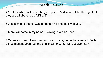4 "Tell us, when will these things happen? And what will be the sign that they are all about to be fulfilled?"

5 Jesus said to them: "Watch out that no one deceives you.

6 Many will come in my name, claiming, 'I am he,' and

7 When you hear of wars and rumors of wars, do not be alarmed. Such things must happen, but the end is still to come. will deceive many.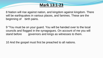8 Nation will rise against nation, and kingdom against kingdom. There will be earthquakes in various places, and famines. These are the beginning of birth pains.

9 "You must be on your guard. You will be handed over to the local councils and flogged in the synagogues. On account of me you will stand before governors and kings as witnesses to them.

10 And the gospel must first be preached to all nations.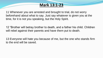11 Whenever you are arrested and brought to trial, do not worry beforehand about what to say. Just say whatever is given you at the time, for it is not you speaking, but the Holy Spirit.

12 "Brother will betray brother to death, and a father his child. Children will rebel against their parents and have them put to death.

13 Everyone will hate you because of me, but the one who stands firm to the end will be saved.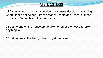14 "When you see 'the abomination that causes desolation standing where itdoes not belong—let the reader understand—then let those who are in Judea flee to the mountains.

**Mark 13:1-23**

15 Let no one on the housetop go down or enter the house to take anything out.

16 Let no one in the field go back to get their cloak.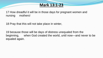17 How dreadful it will be in those days for pregnant women and nursing mothers!

18 Pray that this will not take place in winter,

19 because those will be days of distress unequaled from the beginning, when God created the world, until now—and never to be equaled again.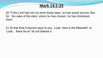20 "If the Lord had not cut short those days, no one would survive. But for the sake of the elect, whom he has chosen, he has shortened them.

21 At that time if anyone says to you, 'Look, here is the Messiah!' or, 'Look, there he is!' do not believe it.